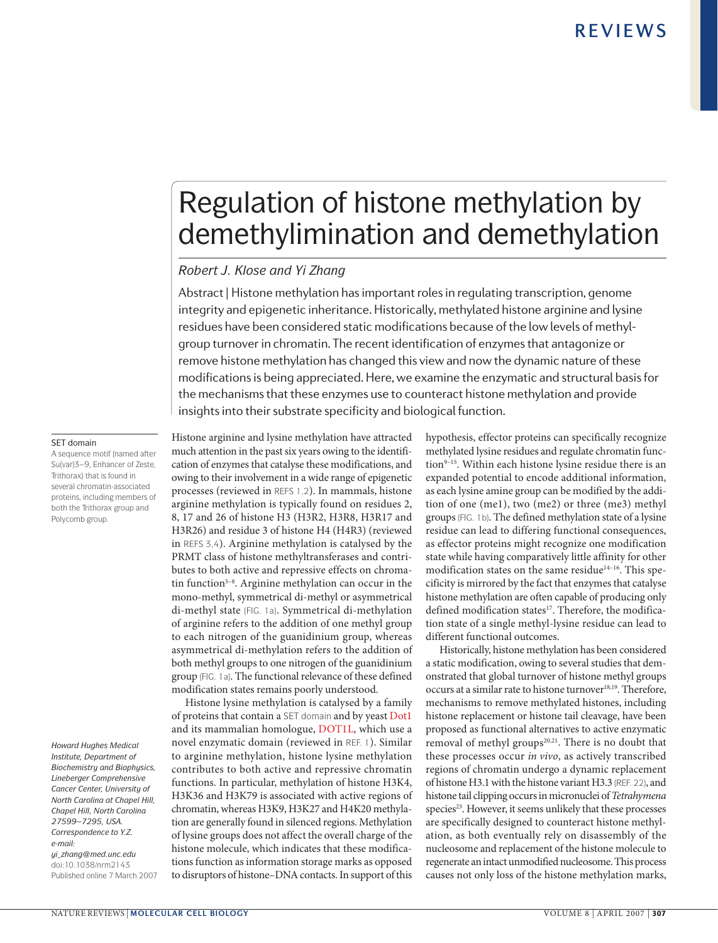# Regulation of histone methylation by demethylimination and demethylation

### *Robert J. Klose and Yi Zhang*

Abstract | Histone methylation has important roles in regulating transcription, genome integrity and epigenetic inheritance. Historically, methylated histone arginine and lysine residues have been considered static modifications because of the low levels of methylgroup turnover in chromatin. The recent identification of enzymes that antagonize or remove histone methylation has changed this view and now the dynamic nature of these modifications is being appreciated. Here, we examine the enzymatic and structural basis for the mechanisms that these enzymes use to counteract histone methylation and provide insights into their substrate specificity and biological function.

#### SET domain

A sequence motif (named after Su(var)3–9, Enhancer of Zeste, Trithorax) that is found in several chromatin-associated proteins, including members of both the Trithorax group and Polycomb group.

*Howard Hughes Medical Institute, Department of Biochemistry and Biophysics, Lineberger Comprehensive Cancer Center, University of North Carolina at Chapel Hill, Chapel Hill, North Carolina 27599–7295, USA. Correspondence to Y.Z. e-mail: yi\_zhang@med.unc.edu* doi:10.1038/nrm2143 Published online 7 March 2007 Histone arginine and lysine methylation have attracted much attention in the past six years owing to the identification of enzymes that catalyse these modifications, and owing to their involvement in a wide range of epigenetic processes (reviewed in REFS 1,2). In mammals, histone arginine methylation is typically found on residues 2, 8, 17 and 26 of histone H3 (H3R2, H3R8, H3R17 and H3R26) and residue 3 of histone H4 (H4R3) (reviewed in REFS 3,4). Arginine methylation is catalysed by the PRMT class of histone methyltransferases and contributes to both active and repressive effects on chromatin function<sup>5-8</sup>. Arginine methylation can occur in the mono-methyl, symmetrical di-methyl or asymmetrical di-methyl state (FIG. 1a). Symmetrical di-methylation of arginine refers to the addition of one methyl group to each nitrogen of the guanidinium group, whereas asymmetrical di-methylation refers to the addition of both methyl groups to one nitrogen of the guanidinium group (FIG. 1a). The functional relevance of these defined modification states remains poorly understood.

Histone lysine methylation is catalysed by a family of proteins that contain a SET domain and by yeast Dot1 and its mammalian homologue, DOT1L, which use a novel enzymatic domain (reviewed in REF. 1). Similar to arginine methylation, histone lysine methylation contributes to both active and repressive chromatin functions. In particular, methylation of histone H3K4, H3K36 and H3K79 is associated with active regions of chromatin, whereas H3K9, H3K27 and H4K20 methylation are generally found in silenced regions. Methylation of lysine groups does not affect the overall charge of the histone molecule, which indicates that these modifications function as information storage marks as opposed to disruptors of histone–DNA contacts. In support of this hypothesis, effector proteins can specifically recognize methylated lysine residues and regulate chromatin function<sup>9-15</sup>. Within each histone lysine residue there is an expanded potential to encode additional information, as each lysine amine group can be modified by the addition of one (me1), two (me2) or three (me3) methyl groups (FIG. 1b). The defined methylation state of a lysine residue can lead to differing functional consequences, as effector proteins might recognize one modification state while having comparatively little affinity for other modification states on the same residue<sup>14-16</sup>. This specificity is mirrored by the fact that enzymes that catalyse histone methylation are often capable of producing only defined modification states<sup>17</sup>. Therefore, the modification state of a single methyl-lysine residue can lead to different functional outcomes.

Historically, histone methylation has been considered a static modification, owing to several studies that demonstrated that global turnover of histone methyl groups occurs at a similar rate to histone turnover<sup>18,19</sup>. Therefore, mechanisms to remove methylated histones, including histone replacement or histone tail cleavage, have been proposed as functional alternatives to active enzymatic removal of methyl groups<sup>20,21</sup>. There is no doubt that these processes occur *in vivo*, as actively transcribed regions of chromatin undergo a dynamic replacement of histone H3.1 with the histone variant H3.3 (REF. 22), and histone tail clipping occurs in micronuclei of *Tetrahymena*  species<sup>23</sup>. However, it seems unlikely that these processes are specifically designed to counteract histone methylation, as both eventually rely on disassembly of the nucleosome and replacement of the histone molecule to regenerate an intact unmodified nucleosome. This process causes not only loss of the histone methylation marks,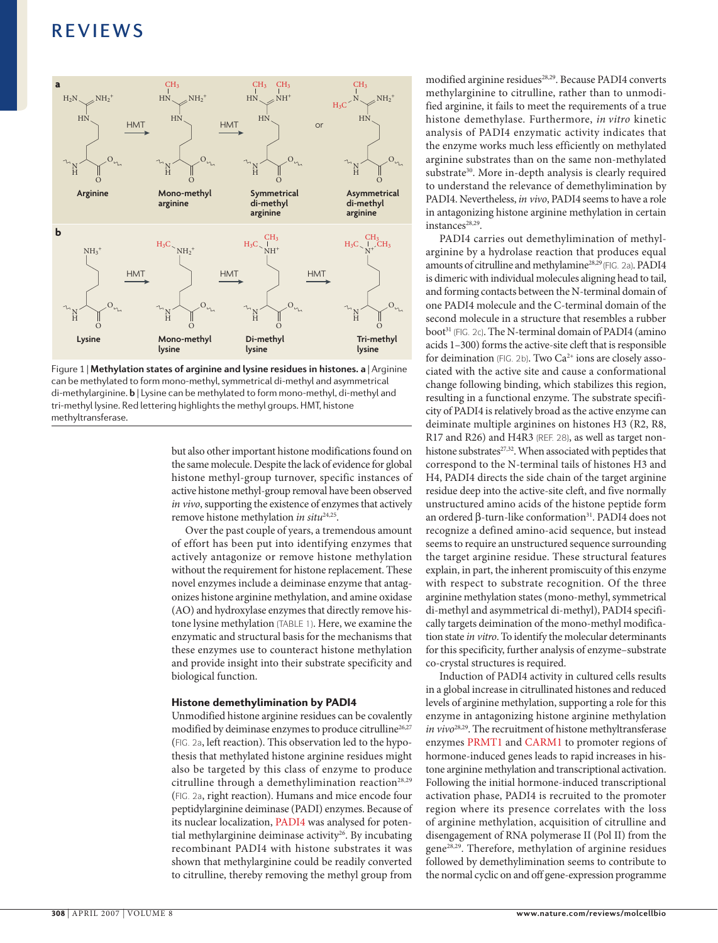

Figure 1 | **Methylation states of arginine and lysine residues in histones. a** | Arginine can be methylated to form mono-methyl, symmetrical di-methyl and asymmetrical di-methylarginine. **b** | Lysine can be methylated to form mono-methyl, di-methyl and tri-methyl lysine. Red lettering highlights the methyl groups. HMT, histone methyltransferase.

but also other important histone modifications found on the same molecule. Despite the lack of evidence for global histone methyl-group turnover, specific instances of active histone methyl-group removal have been observed *in vivo*, supporting the existence of enzymes that actively remove histone methylation *in situ<sup>24,25</sup>*.

Over the past couple of years, a tremendous amount of effort has been put into identifying enzymes that actively antagonize or remove histone methylation without the requirement for histone replacement. These novel enzymes include a deiminase enzyme that antagonizes histone arginine methylation, and amine oxidase (AO) and hydroxylase enzymes that directly remove histone lysine methylation (TABLE 1). Here, we examine the enzymatic and structural basis for the mechanisms that these enzymes use to counteract histone methylation and provide insight into their substrate specificity and biological function.

#### Histone demethylimination by PADI4

Unmodified histone arginine residues can be covalently modified by deiminase enzymes to produce citrulline<sup>26,27</sup> (FIG. 2a, left reaction). This observation led to the hypothesis that methylated histone arginine residues might also be targeted by this class of enzyme to produce citrulline through a demethylimination reaction<sup>28,29</sup> (FIG. 2a, right reaction). Humans and mice encode four peptidylarginine deiminase (PADI) enzymes. Because of its nuclear localization, PADI4 was analysed for potential methylarginine deiminase activity<sup>26</sup>. By incubating recombinant PADI4 with histone substrates it was shown that methylarginine could be readily converted to citrulline, thereby removing the methyl group from

modified arginine residues<sup>28,29</sup>. Because PADI4 converts methylarginine to citrulline, rather than to unmodified arginine, it fails to meet the requirements of a true histone demethylase. Furthermore, *in vitro* kinetic analysis of PADI4 enzymatic activity indicates that the enzyme works much less efficiently on methylated arginine substrates than on the same non-methylated substrate<sup>30</sup>. More in-depth analysis is clearly required to understand the relevance of demethylimination by PADI4. Nevertheless, *in vivo*, PADI4 seems to have a role in antagonizing histone arginine methylation in certain instances<sup>28,29</sup>.

PADI4 carries out demethylimination of methylarginine by a hydrolase reaction that produces equal amounts of citrulline and methylamine28,29 (FIG. 2a). PADI4 is dimeric with individual molecules aligning head to tail, and forming contacts between the N-terminal domain of one PADI4 molecule and the C-terminal domain of the second molecule in a structure that resembles a rubber boot<sup>31</sup> (FIG. 2c). The N-terminal domain of PADI4 (amino acids 1–300) forms the active-site cleft that is responsible for deimination (FIG. 2b). Two  $Ca^{2+}$  ions are closely associated with the active site and cause a conformational change following binding, which stabilizes this region, resulting in a functional enzyme. The substrate specificity of PADI4 is relatively broad as the active enzyme can deiminate multiple arginines on histones H3 (R2, R8, R17 and R26) and H4R3 (REF. 28), as well as target nonhistone substrates<sup>27,32</sup>. When associated with peptides that correspond to the N-terminal tails of histones H3 and H4, PADI4 directs the side chain of the target arginine residue deep into the active-site cleft, and five normally unstructured amino acids of the histone peptide form an ordered β-turn-like conformation<sup>31</sup>. PADI4 does not recognize a defined amino-acid sequence, but instead seems to require an unstructured sequence surrounding the target arginine residue. These structural features explain, in part, the inherent promiscuity of this enzyme with respect to substrate recognition. Of the three arginine methylation states (mono-methyl, symmetrical di-methyl and asymmetrical di-methyl), PADI4 specifically targets deimination of the mono-methyl modification state *in vitro*. To identify the molecular determinants for this specificity, further analysis of enzyme–substrate co-crystal structures is required.

Induction of PADI4 activity in cultured cells results in a global increase in citrullinated histones and reduced levels of arginine methylation, supporting a role for this enzyme in antagonizing histone arginine methylation *in vivo*28,29. The recruitment of histone methyltransferase enzymes PRMT1 and CARM1 to promoter regions of hormone-induced genes leads to rapid increases in histone arginine methylation and transcriptional activation. Following the initial hormone-induced transcriptional activation phase, PADI4 is recruited to the promoter region where its presence correlates with the loss of arginine methylation, acquisition of citrulline and disengagement of RNA polymerase II (Pol II) from the gene28,29. Therefore, methylation of arginine residues followed by demethylimination seems to contribute to the normal cyclic on and off gene-expression programme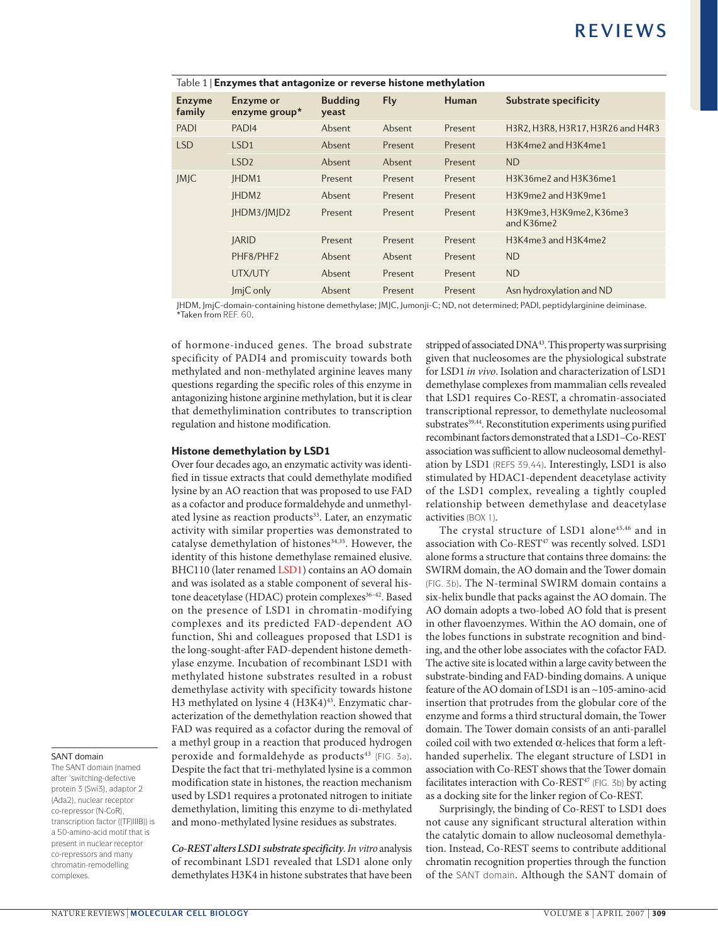| Table 1   Enzymes that antagonize or reverse histone methylation |                                   |                         |            |              |                                        |
|------------------------------------------------------------------|-----------------------------------|-------------------------|------------|--------------|----------------------------------------|
| <b>Enzyme</b><br>family                                          | <b>Enzyme or</b><br>enzyme group* | <b>Budding</b><br>veast | <b>Fly</b> | <b>Human</b> | <b>Substrate specificity</b>           |
| <b>PADI</b>                                                      | PAD <sub>14</sub>                 | Absent                  | Absent     | Present      | H3R2, H3R8, H3R17, H3R26 and H4R3      |
| <b>LSD</b>                                                       | LSD <sub>1</sub>                  | Absent                  | Present    | Present      | H3K4me2 and H3K4me1                    |
|                                                                  | LSD <sub>2</sub>                  | Absent                  | Absent     | Present      | <b>ND</b>                              |
| <b>JMJC</b>                                                      | IHDM1                             | Present                 | Present    | Present      | H3K36me2 and H3K36me1                  |
|                                                                  | IHDM <sub>2</sub>                 | Absent                  | Present    | Present      | H3K9me2 and H3K9me1                    |
|                                                                  | JHDM3/JMJD2                       | Present                 | Present    | Present      | H3K9me3, H3K9me2, K36me3<br>and K36me2 |
|                                                                  | <b>IARID</b>                      | Present                 | Present    | Present      | H3K4me3 and H3K4me2                    |
|                                                                  | PHF8/PHF2                         | Absent                  | Absent     | Present      | <b>ND</b>                              |
|                                                                  | UTX/UTY                           | Absent                  | Present    | Present      | <b>ND</b>                              |
|                                                                  | ImiC only                         | <b>Absent</b>           | Present    | Present      | Asn hydroxylation and ND               |

JHDM, JmjC-domain-containing histone demethylase; JMJC, Jumonji-C; ND, not determined; PADI, peptidylarginine deiminase. \*Taken from REF. 60.

of hormone-induced genes. The broad substrate specificity of PADI4 and promiscuity towards both methylated and non-methylated arginine leaves many questions regarding the specific roles of this enzyme in antagonizing histone arginine methylation, but it is clear that demethylimination contributes to transcription regulation and histone modification.

#### Histone demethylation by LSD1

Over four decades ago, an enzymatic activity was identified in tissue extracts that could demethylate modified lysine by an AO reaction that was proposed to use FAD as a cofactor and produce formaldehyde and unmethylated lysine as reaction products<sup>33</sup>. Later, an enzymatic activity with similar properties was demonstrated to catalyse demethylation of histones<sup>34,35</sup>. However, the identity of this histone demethylase remained elusive. BHC110 (later renamed LSD1) contains an AO domain and was isolated as a stable component of several histone deacetylase (HDAC) protein complexes<sup>36-42</sup>. Based on the presence of LSD1 in chromatin-modifying complexes and its predicted FAD-dependent AO function, Shi and colleagues proposed that LSD1 is the long-sought-after FAD-dependent histone demethylase enzyme. Incubation of recombinant LSD1 with methylated histone substrates resulted in a robust demethylase activity with specificity towards histone H3 methylated on lysine 4 (H3K4)<sup>43</sup>. Enzymatic characterization of the demethylation reaction showed that FAD was required as a cofactor during the removal of a methyl group in a reaction that produced hydrogen peroxide and formaldehyde as products<sup>43</sup> (FIG. 3a). Despite the fact that tri-methylated lysine is a common modification state in histones, the reaction mechanism used by LSD1 requires a protonated nitrogen to initiate demethylation, limiting this enzyme to di-methylated and mono-methylated lysine residues as substrates.

*Co-REST alters LSD1 substrate specificity. In vitro* analysis of recombinant LSD1 revealed that LSD1 alone only demethylates H3K4 in histone substrates that have been stripped of associated DNA<sup>43</sup>. This property was surprising given that nucleosomes are the physiological substrate for LSD1 *in vivo*. Isolation and characterization of LSD1 demethylase complexes from mammalian cells revealed that LSD1 requires Co-REST, a chromatin-associated transcriptional repressor, to demethylate nucleosomal substrates<sup>39,44</sup>. Reconstitution experiments using purified recombinant factors demonstrated that a LSD1–Co-REST association was sufficient to allow nucleosomal demethylation by LSD1 (REFS 39,44). Interestingly, LSD1 is also stimulated by HDAC1-dependent deacetylase activity of the LSD1 complex, revealing a tightly coupled relationship between demethylase and deacetylase activities (BOX 1).

The crystal structure of LSD1 alone<sup>45,46</sup> and in association with Co-REST<sup>47</sup> was recently solved. LSD1 alone forms a structure that contains three domains: the SWIRM domain, the AO domain and the Tower domain (FIG. 3b). The N-terminal SWIRM domain contains a six-helix bundle that packs against the AO domain. The AO domain adopts a two-lobed AO fold that is present in other flavoenzymes. Within the AO domain, one of the lobes functions in substrate recognition and binding, and the other lobe associates with the cofactor FAD. The active site is located within a large cavity between the substrate-binding and FAD-binding domains. A unique feature of the AO domain of LSD1 is an ~105-amino-acid insertion that protrudes from the globular core of the enzyme and forms a third structural domain, the Tower domain. The Tower domain consists of an anti-parallel coiled coil with two extended α-helices that form a lefthanded superhelix. The elegant structure of LSD1 in association with Co-REST shows that the Tower domain facilitates interaction with  $Co-REST^{47}$  (FIG. 3b) by acting as a docking site for the linker region of Co-REST.

Surprisingly, the binding of Co-REST to LSD1 does not cause any significant structural alteration within the catalytic domain to allow nucleosomal demethylation. Instead, Co-REST seems to contribute additional chromatin recognition properties through the function of the SANT domain. Although the SANT domain of

#### SANT domain The SANT domain (named

after 'switching-defective protein 3 (Swi3), adaptor 2 (Ada2), nuclear receptor co-repressor (N-CoR), transcription factor ((TF)IIIB)) is a 50-amino-acid motif that is present in nuclear receptor co-repressors and many chromatin-remodelling complexes.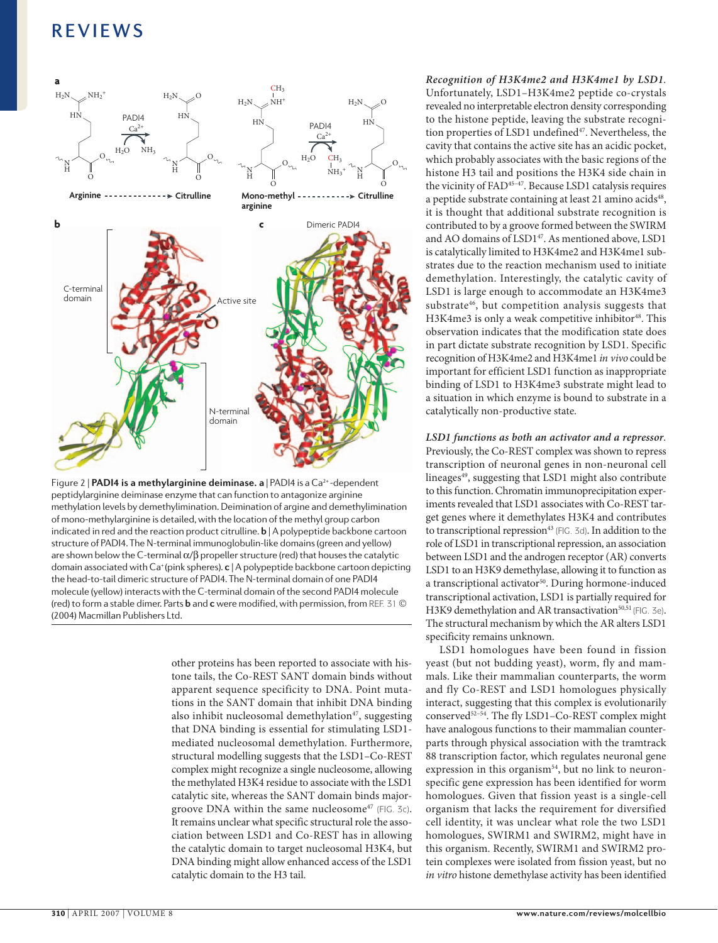

Figure 2 | **PADI4 is a methylarginine deiminase. a** | PADI4 is a Ca<sup>2+</sup>-dependent peptidylarginine deiminase enzyme that can function to antagonize arginine methylation levels by demethylimination. Deimination of argine and demethylimination of mono-methylarginine is detailed, with the location of the methyl group carbon indicated in red and the reaction product citrulline. **b** | A polypeptide backbone cartoon structure of PADI4. The N-terminal immunoglobulin-like domains (green and yellow) are shown below the C-terminal  $\alpha/\beta$  propeller structure (red) that houses the catalytic domain associated with Ca<sup>+</sup> (pink spheres). **c** | A polypeptide backbone cartoon depicting the head-to-tail dimeric structure of PADI4. The N-terminal domain of one PADI4 molecule (yellow) interacts with the C-terminal domain of the second PADI4 molecule (red) to form a stable dimer. Parts **b** and **c** were modified, with permission, from REF. 31 © (2004) Macmillan Publishers Ltd.

other proteins has been reported to associate with histone tails, the Co-REST SANT domain binds without apparent sequence specificity to DNA. Point mutations in the SANT domain that inhibit DNA binding also inhibit nucleosomal demethylation $47$ , suggesting that DNA binding is essential for stimulating LSD1 mediated nucleosomal demethylation. Furthermore, structural modelling suggests that the LSD1–Co-REST complex might recognize a single nucleosome, allowing the methylated H3K4 residue to associate with the LSD1 catalytic site, whereas the SANT domain binds majorgroove DNA within the same nucleosome<sup>47</sup> (FIG. 3c). It remains unclear what specific structural role the association between LSD1 and Co-REST has in allowing the catalytic domain to target nucleosomal H3K4, but DNA binding might allow enhanced access of the LSD1 catalytic domain to the H3 tail.

*Recognition of H3K4me2 and H3K4me1 by LSD1.* Unfortunately, LSD1–H3K4me2 peptide co-crystals revealed no interpretable electron density corresponding to the histone peptide, leaving the substrate recognition properties of LSD1 undefined<sup>47</sup>. Nevertheless, the cavity that contains the active site has an acidic pocket, which probably associates with the basic regions of the histone H3 tail and positions the H3K4 side chain in the vicinity of FAD45–47. Because LSD1 catalysis requires a peptide substrate containing at least 21 amino acids<sup>48</sup>, it is thought that additional substrate recognition is contributed to by a groove formed between the SWIRM and AO domains of LSD1<sup>47</sup>. As mentioned above, LSD1 is catalytically limited to H3K4me2 and H3K4me1 substrates due to the reaction mechanism used to initiate demethylation. Interestingly, the catalytic cavity of LSD1 is large enough to accommodate an H3K4me3 substrate<sup>46</sup>, but competition analysis suggests that H3K4me3 is only a weak competitive inhibitor<sup>48</sup>. This observation indicates that the modification state does in part dictate substrate recognition by LSD1. Specific recognition of H3K4me2 and H3K4me1 *in vivo* could be important for efficient LSD1 function as inappropriate binding of LSD1 to H3K4me3 substrate might lead to a situation in which enzyme is bound to substrate in a catalytically non-productive state.

*LSD1 functions as both an activator and a repressor.* Previously, the Co-REST complex was shown to repress transcription of neuronal genes in non-neuronal cell lineages<sup>49</sup>, suggesting that LSD1 might also contribute to this function. Chromatin immunoprecipitation experiments revealed that LSD1 associates with Co-REST target genes where it demethylates H3K4 and contributes to transcriptional repression<sup>43</sup> (FIG. 3d). In addition to the role of LSD1 in transcriptional repression, an association between LSD1 and the androgen receptor (AR) converts LSD1 to an H3K9 demethylase, allowing it to function as a transcriptional activator<sup>50</sup>. During hormone-induced transcriptional activation, LSD1 is partially required for H3K9 demethylation and AR transactivation<sup>50,51</sup> (FIG. 3e). The structural mechanism by which the AR alters LSD1 specificity remains unknown.

LSD1 homologues have been found in fission yeast (but not budding yeast), worm, fly and mammals. Like their mammalian counterparts, the worm and fly Co-REST and LSD1 homologues physically interact, suggesting that this complex is evolutionarily conserved52–54. The fly LSD1–Co-REST complex might have analogous functions to their mammalian counterparts through physical association with the tramtrack 88 transcription factor, which regulates neuronal gene expression in this organism<sup>54</sup>, but no link to neuronspecific gene expression has been identified for worm homologues. Given that fission yeast is a single-cell organism that lacks the requirement for diversified cell identity, it was unclear what role the two LSD1 homologues, SWIRM1 and SWIRM2, might have in this organism. Recently, SWIRM1 and SWIRM2 protein complexes were isolated from fission yeast, but no *in vitro* histone demethylase activity has been identified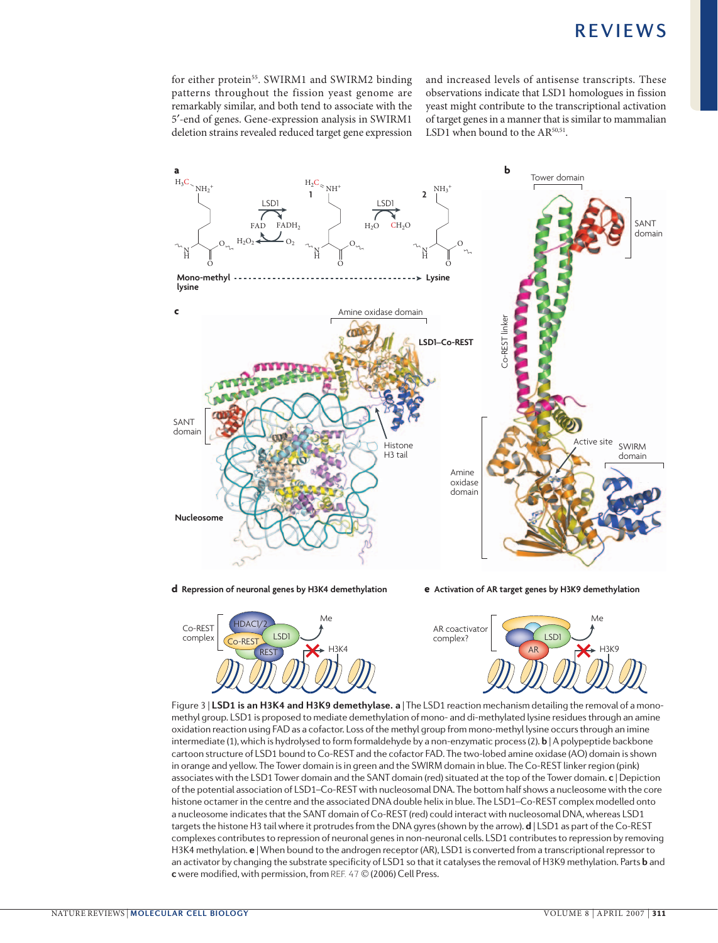for either protein<sup>55</sup>. SWIRM1 and SWIRM2 binding patterns throughout the fission yeast genome are remarkably similar, and both tend to associate with the 5′-end of genes. Gene-expression analysis in SWIRM1 deletion strains revealed reduced target gene expression

and increased levels of antisense transcripts. These observations indicate that LSD1 homologues in fission yeast might contribute to the transcriptional activation of target genes in a manner that is similar to mammalian LSD1 when bound to the AR<sup>50,51</sup>.





**d Repression of neuronal genes by H3K4 demethylation e Activation of AR target genes by H3K9 demethylation**



Figure 3 | **LSD1 is an H3K4 and H3K9 demethylase. a** | The LSD1 reaction mechanism detailing the removal of a monomethyl group. LSD1 is proposed to mediate demethylation of mono- and di-methylated lysine residues through an amine oxidation reaction using FAD as a cofactor. Loss of the methyl group from mono-methyl lysine occurs through an imine intermediate (1), which is hydrolysed to form formaldehyde by a non-enzymatic process (2). **b** | A polypeptide backbone cartoon structure of LSD1 bound to Co-REST and the cofactor FAD. The two-lobed amine oxidase (AO) domain is shown in orange and yellow. The Tower domain is in green and the SWIRM domain in blue. The Co-REST linker region (pink) associates with the LSD1 Tower domain and the SANT domain (red) situated at the top of the Tower domain. **c** | Depiction of the potential association of LSD1–Co-REST with nucleosomal DNA. The bottom half shows a nucleosome with the core histone octamer in the centre and the associated DNA double helix in blue. The LSD1–Co-REST complex modelled onto a nucleosome indicates that the SANT domain of Co-REST (red) could interact with nucleosomal DNA, whereas LSD1 targets the histone H3 tail where it protrudes from the DNA gyres (shown by the arrow). **d** | LSD1 as part of the Co-REST complexes contributes to repression of neuronal genes in non-neuronal cells. LSD1 contributes to repression by removing H3K4 methylation. **e** | When bound to the androgen receptor (AR), LSD1 is converted from a transcriptional repressor to an activator by changing the substrate specificity of LSD1 so that it catalyses the removal of H3K9 methylation. Parts **b** and **c** were modified, with permission, from REF. 47 © (2006) Cell Press.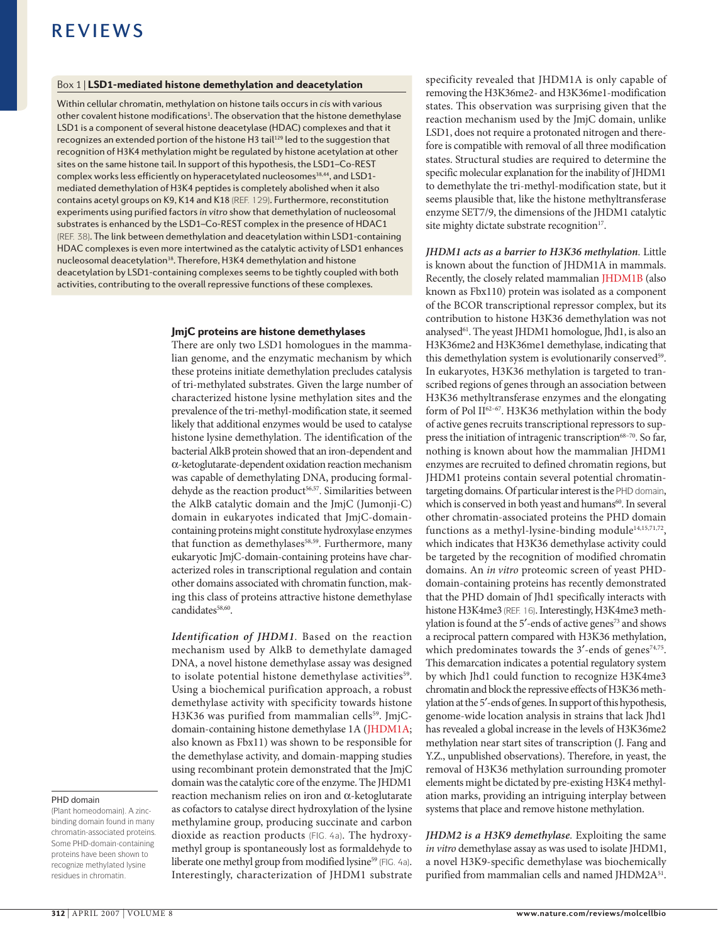#### Box 1 | LSD1-mediated histone demethylation and deacetylation

Within cellular chromatin, methylation on histone tails occurs in *cis* with various other covalent histone modifications<sup>1</sup>. The observation that the histone demethylase LSD1 is a component of several histone deacetylase (HDAC) complexes and that it recognizes an extended portion of the histone H3 tail<sup>129</sup> led to the suggestion that recognition of H3K4 methylation might be regulated by histone acetylation at other sites on the same histone tail. In support of this hypothesis, the LSD1–Co-REST complex works less efficiently on hyperacetylated nucleosomes<sup>38,44</sup>, and LSD1mediated demethylation of H3K4 peptides is completely abolished when it also contains acetyl groups on K9, K14 and K18 (REF. 129). Furthermore, reconstitution experiments using purified factors *in vitro* show that demethylation of nucleosomal substrates is enhanced by the LSD1–Co-REST complex in the presence of HDAC1 (REF. 38). The link between demethylation and deacetylation within LSD1-containing HDAC complexes is even more intertwined as the catalytic activity of LSD1 enhances nucleosomal deacetylation<sup>38</sup>. Therefore, H3K4 demethylation and histone deacetylation by LSD1-containing complexes seems to be tightly coupled with both activities, contributing to the overall repressive functions of these complexes.

#### JmjC proteins are histone demethylases

There are only two LSD1 homologues in the mammalian genome, and the enzymatic mechanism by which these proteins initiate demethylation precludes catalysis of tri-methylated substrates. Given the large number of characterized histone lysine methylation sites and the prevalence of the tri-methyl-modification state, it seemed likely that additional enzymes would be used to catalyse histone lysine demethylation. The identification of the bacterial AlkB protein showed that an iron-dependent and α-ketoglutarate-dependent oxidation reaction mechanism was capable of demethylating DNA, producing formaldehyde as the reaction product<sup>56,57</sup>. Similarities between the AlkB catalytic domain and the JmjC (Jumonji-C) domain in eukaryotes indicated that JmjC-domaincontaining proteins might constitute hydroxylase enzymes that function as demethylases<sup>58,59</sup>. Furthermore, many eukaryotic JmjC-domain-containing proteins have characterized roles in transcriptional regulation and contain other domains associated with chromatin function, making this class of proteins attractive histone demethylase candidates<sup>58,60</sup>.

*Identification of JHDM1.* Based on the reaction mechanism used by AlkB to demethylate damaged DNA, a novel histone demethylase assay was designed to isolate potential histone demethylase activities<sup>59</sup>. Using a biochemical purification approach, a robust demethylase activity with specificity towards histone H3K36 was purified from mammalian cells<sup>59</sup>. JmjCdomain-containing histone demethylase 1A (JHDM1A; also known as Fbx11) was shown to be responsible for the demethylase activity, and domain-mapping studies using recombinant protein demonstrated that the JmjC domain was the catalytic core of the enzyme. The JHDM1 reaction mechanism relies on iron and α-ketoglutarate as cofactors to catalyse direct hydroxylation of the lysine methylamine group, producing succinate and carbon dioxide as reaction products (FIG. 4a). The hydroxymethyl group is spontaneously lost as formaldehyde to liberate one methyl group from modified lysine<sup>59</sup> (FIG. 4a). Interestingly, characterization of JHDM1 substrate specificity revealed that JHDM1A is only capable of removing the H3K36me2- and H3K36me1-modification states. This observation was surprising given that the reaction mechanism used by the JmjC domain, unlike LSD1, does not require a protonated nitrogen and therefore is compatible with removal of all three modification states. Structural studies are required to determine the specific molecular explanation for the inability of JHDM1 to demethylate the tri-methyl-modification state, but it seems plausible that, like the histone methyltransferase enzyme SET7/9, the dimensions of the JHDM1 catalytic site mighty dictate substrate recognition<sup>17</sup>.

*JHDM1 acts as a barrier to H3K36 methylation.* Little is known about the function of JHDM1A in mammals. Recently, the closely related mammalian JHDM1B (also known as Fbx110) protein was isolated as a component of the BCOR transcriptional repressor complex, but its contribution to histone H3K36 demethylation was not analysed<sup>61</sup>. The yeast JHDM1 homologue, Jhd1, is also an H3K36me2 and H3K36me1 demethylase, indicating that this demethylation system is evolutionarily conserved<sup>59</sup>. In eukaryotes, H3K36 methylation is targeted to transcribed regions of genes through an association between H3K36 methyltransferase enzymes and the elongating form of Pol II62–67. H3K36 methylation within the body of active genes recruits transcriptional repressors to suppress the initiation of intragenic transcription<sup>68-70</sup>. So far, nothing is known about how the mammalian JHDM1 enzymes are recruited to defined chromatin regions, but JHDM1 proteins contain several potential chromatintargeting domains. Of particular interest is the PHD domain, which is conserved in both yeast and humans<sup>60</sup>. In several other chromatin-associated proteins the PHD domain functions as a methyl-lysine-binding module<sup>14,15,71,72</sup>, which indicates that H3K36 demethylase activity could be targeted by the recognition of modified chromatin domains. An *in vitro* proteomic screen of yeast PHDdomain-containing proteins has recently demonstrated that the PHD domain of Jhd1 specifically interacts with histone H3K4me3 (REF. 16). Interestingly, H3K4me3 methylation is found at the 5'-ends of active genes<sup>73</sup> and shows a reciprocal pattern compared with H3K36 methylation, which predominates towards the  $3'$ -ends of genes<sup>74,75</sup>. This demarcation indicates a potential regulatory system by which Jhd1 could function to recognize H3K4me3 chromatin and block the repressive effects of H3K36 methylation at the 5'-ends of genes. In support of this hypothesis, genome-wide location analysis in strains that lack Jhd1 has revealed a global increase in the levels of H3K36me2 methylation near start sites of transcription (J. Fang and Y.Z., unpublished observations). Therefore, in yeast, the removal of H3K36 methylation surrounding promoter elements might be dictated by pre-existing H3K4 methylation marks, providing an intriguing interplay between systems that place and remove histone methylation.

*JHDM2 is a H3K9 demethylase.* Exploiting the same *in vitro* demethylase assay as was used to isolate JHDM1, a novel H3K9-specific demethylase was biochemically purified from mammalian cells and named JHDM2A<sup>51</sup>.

#### PHD domain

(Plant homeodomain). A zincbinding domain found in many chromatin-associated proteins. Some PHD-domain-containing proteins have been shown to recognize methylated lysine residues in chromatin.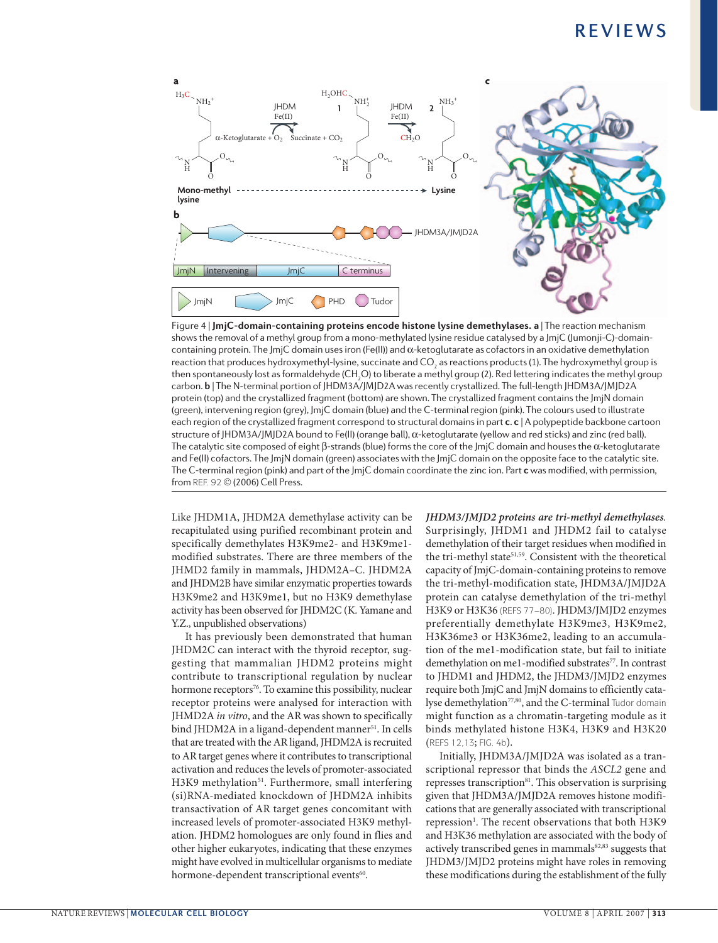

Figure 4 | **JmjC-domain-containing proteins encode histone lysine demethylases. a** | The reaction mechanism shows the removal of a methyl group from a mono-methylated lysine residue catalysed by a JmjC (Jumonji-C)-domaincontaining protein. The JmjC domain uses iron (Fe(II)) and α-ketoglutarate as cofactors in an oxidative demethylation reaction that produces hydroxymethyl-lysine, succinate and CO<sub>2</sub> as reactions products (1). The hydroxymethyl group is then spontaneously lost as formaldehyde (CH<sub>2</sub>O) to liberate a methyl group (2). Red lettering indicates the methyl group carbon. **b** | The N-terminal portion of JHDM3A/JMJD2A was recently crystallized. The full-length JHDM3A/JMJD2A protein (top) and the crystallized fragment (bottom) are shown. The crystallized fragment contains the JmjN domain (green), intervening region (grey), JmjC domain (blue) and the C-terminal region (pink). The colours used to illustrate each region of the crystallized fragment correspond to structural domains in part **c**. **c** | A polypeptide backbone cartoon structure of JHDM3A/JMJD2A bound to Fe(II) (orange ball), α-ketoglutarate (yellow and red sticks) and zinc (red ball). The catalytic site composed of eight β-strands (blue) forms the core of the JmjC domain and houses the α-ketoglutarate and Fe(II) cofactors. The JmjN domain (green) associates with the JmjC domain on the opposite face to the catalytic site. The C-terminal region (pink) and part of the JmjC domain coordinate the zinc ion. Part **c** was modified, with permission, from REF. 92 © (2006) Cell Press.

Like JHDM1A, JHDM2A demethylase activity can be recapitulated using purified recombinant protein and specifically demethylates H3K9me2- and H3K9me1 modified substrates. There are three members of the JHMD2 family in mammals, JHDM2A–C. JHDM2A and JHDM2B have similar enzymatic properties towards H3K9me2 and H3K9me1, but no H3K9 demethylase activity has been observed for JHDM2C (K. Yamane and Y.Z., unpublished observations)

It has previously been demonstrated that human JHDM2C can interact with the thyroid receptor, suggesting that mammalian JHDM2 proteins might contribute to transcriptional regulation by nuclear hormone receptors<sup>76</sup>. To examine this possibility, nuclear receptor proteins were analysed for interaction with JHMD2A *in vitro*, and the AR was shown to specifically bind JHDM2A in a ligand-dependent manner<sup>51</sup>. In cells that are treated with the AR ligand, JHDM2A is recruited to AR target genes where it contributes to transcriptional activation and reduces the levels of promoter-associated H3K9 methylation<sup>51</sup>. Furthermore, small interfering (si)RNA-mediated knockdown of JHDM2A inhibits transactivation of AR target genes concomitant with increased levels of promoter-associated H3K9 methylation. JHDM2 homologues are only found in flies and other higher eukaryotes, indicating that these enzymes might have evolved in multicellular organisms to mediate hormone-dependent transcriptional events<sup>60</sup>.

*JHDM3/JMJD2 proteins are tri-methyl demethylases.* Surprisingly, JHDM1 and JHDM2 fail to catalyse demethylation of their target residues when modified in the tri-methyl state<sup>51,59</sup>. Consistent with the theoretical capacity of JmjC-domain-containing proteins to remove the tri-methyl-modification state, JHDM3A/JMJD2A protein can catalyse demethylation of the tri-methyl H3K9 or H3K36 (REFS 77–80). JHDM3/JMJD2 enzymes preferentially demethylate H3K9me3, H3K9me2, H3K36me3 or H3K36me2, leading to an accumulation of the me1-modification state, but fail to initiate demethylation on me1-modified substrates<sup>77</sup>. In contrast to JHDM1 and JHDM2, the JHDM3/JMJD2 enzymes require both JmjC and JmjN domains to efficiently catalyse demethylation<sup>77,80</sup>, and the C-terminal Tudor domain might function as a chromatin-targeting module as it binds methylated histone H3K4, H3K9 and H3K20 (REFS 12,13; FIG. 4b).

Initially, JHDM3A/JMJD2A was isolated as a transcriptional repressor that binds the *ASCL2* gene and represses transcription<sup>81</sup>. This observation is surprising given that JHDM3A/JMJD2A removes histone modifications that are generally associated with transcriptional repression<sup>1</sup>. The recent observations that both H3K9 and H3K36 methylation are associated with the body of actively transcribed genes in mammals<sup>82,83</sup> suggests that JHDM3/JMJD2 proteins might have roles in removing these modifications during the establishment of the fully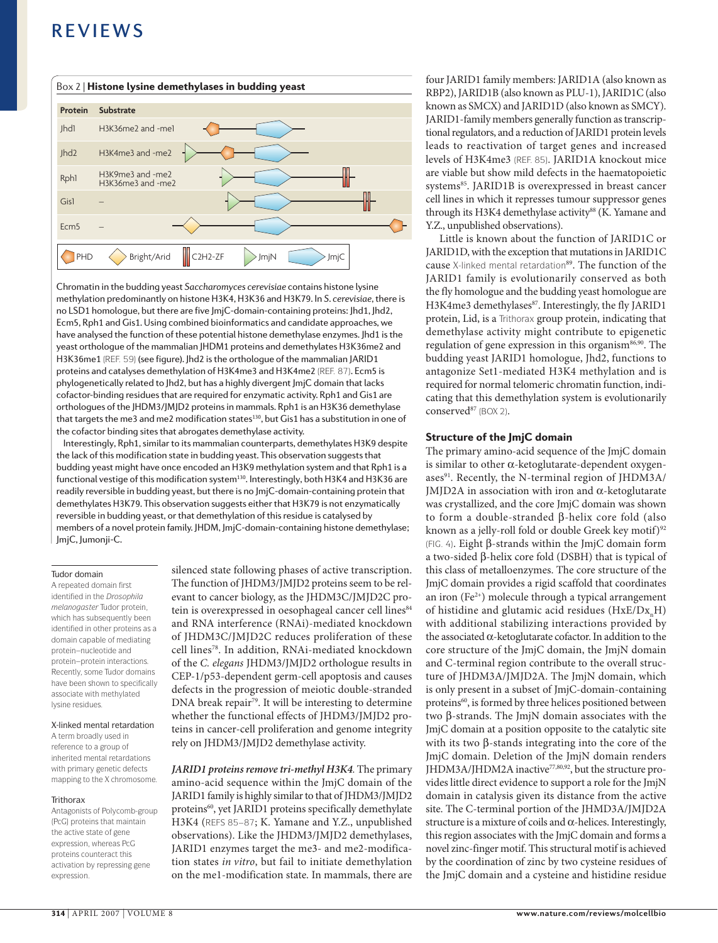

Chromatin in the budding yeast *Saccharomyces cerevisiae* contains histone lysine methylation predominantly on histone H3K4, H3K36 and H3K79. In *S. cerevisiae*, there is no LSD1 homologue, but there are five JmjC-domain-containing proteins: Jhd1, Jhd2, Ecm5, Rph1 and Gis1. Using combined bioinformatics and candidate approaches, we have analysed the function of these potential histone demethylase enzymes. Jhd1 is the yeast orthologue of the mammalian JHDM1 proteins and demethylates H3K36me2 and H3K36me1 (REF. 59) (see figure). Jhd2 is the orthologue of the mammalian JARID1 proteins and catalyses demethylation of H3K4me3 and H3K4me2 (REF. 87). Ecm5 is phylogenetically related to Jhd2, but has a highly divergent JmjC domain that lacks cofactor-binding residues that are required for enzymatic activity. Rph1 and Gis1 are orthologues of the JHDM3/JMJD2 proteins in mammals. Rph1 is an H3K36 demethylase that targets the me3 and me2 modification states<sup>130</sup>, but Gis1 has a substitution in one of the cofactor binding sites that abrogates demethylase activity.

Interestingly, Rph1, similar to its mammalian counterparts, demethylates H3K9 despite the lack of this modification state in budding yeast. This observation suggests that budding yeast might have once encoded an H3K9 methylation system and that Rph1 is a functional vestige of this modification system<sup>130</sup>. Interestingly, both H3K4 and H3K36 are readily reversible in budding yeast, but there is no JmjC-domain-containing protein that demethylates H3K79. This observation suggests either that H3K79 is not enzymatically reversible in budding yeast, or that demethylation of this residue is catalysed by members of a novel protein family. JHDM, JmjC-domain-containing histone demethylase; JmjC, Jumonji-C.

#### Tudor domain

A repeated domain first identified in the *Drosophila melanogaster* Tudor protein, which has subsequently been identified in other proteins as a domain capable of mediating protein–nucleotide and protein–protein interactions. Recently, some Tudor domains have been shown to specifically associate with methylated lysine residues.

#### X-linked mental retardation

A term broadly used in reference to a group of inherited mental retardations with primary genetic defects mapping to the X chromosome.

#### **Trithorax**

Antagonists of Polycomb-group (PcG) proteins that maintain the active state of gene expression, whereas PcG proteins counteract this activation by repressing gene expression.

silenced state following phases of active transcription. The function of JHDM3/JMJD2 proteins seem to be relevant to cancer biology, as the JHDM3C/JMJD2C protein is overexpressed in oesophageal cancer cell lines<sup>84</sup> and RNA interference (RNAi)-mediated knockdown of JHDM3C/JMJD2C reduces proliferation of these cell lines78. In addition, RNAi-mediated knockdown of the *C. elegans* JHDM3/JMJD2 orthologue results in CEP-1/p53-dependent germ-cell apoptosis and causes defects in the progression of meiotic double-stranded DNA break repair<sup>79</sup>. It will be interesting to determine whether the functional effects of JHDM3/JMJD2 proteins in cancer-cell proliferation and genome integrity rely on JHDM3/JMJD2 demethylase activity.

*JARID1 proteins remove tri-methyl H3K4.* The primary amino-acid sequence within the JmjC domain of the JARID1 family is highly similar to that of JHDM3/JMJD2 proteins<sup>60</sup>, yet JARID1 proteins specifically demethylate H3K4 (REFS 85–87; K. Yamane and Y.Z., unpublished observations). Like the JHDM3/JMJD2 demethylases, JARID1 enzymes target the me3- and me2-modification states *in vitro*, but fail to initiate demethylation on the me1-modification state. In mammals, there are four JARID1 family members: JARID1A (also known as RBP2), JARID1B (also known as PLU-1), JARID1C (also known as SMCX) and JARID1D (also known as SMCY). JARID1-family members generally function as transcriptional regulators, and a reduction of JARID1 protein levels leads to reactivation of target genes and increased levels of H3K4me3 (REF. 85). JARID1A knockout mice are viable but show mild defects in the haematopoietic systems<sup>85</sup>. JARID1B is overexpressed in breast cancer cell lines in which it represses tumour suppressor genes through its H3K4 demethylase activity<sup>88</sup> (K. Yamane and Y.Z., unpublished observations).

Little is known about the function of JARID1C or JARID1D, with the exception that mutations in JARID1C cause X-linked mental retardation<sup>89</sup>. The function of the JARID1 family is evolutionarily conserved as both the fly homologue and the budding yeast homologue are H3K4me3 demethylases<sup>87</sup>. Interestingly, the fly JARID1 protein, Lid, is a Trithorax group protein, indicating that demethylase activity might contribute to epigenetic regulation of gene expression in this organism<sup>86,90</sup>. The budding yeast JARID1 homologue, Jhd2, functions to antagonize Set1-mediated H3K4 methylation and is required for normal telomeric chromatin function, indicating that this demethylation system is evolutionarily conserved<sup>87</sup> (BOX 2).

#### Structure of the JmjC domain

The primary amino-acid sequence of the JmjC domain is similar to other α-ketoglutarate-dependent oxygenases<sup>91</sup>. Recently, the N-terminal region of JHDM3A/ JMJD2A in association with iron and α-ketoglutarate was crystallized, and the core JmjC domain was shown to form a double-stranded β-helix core fold (also known as a jelly-roll fold or double Greek key motif)<sup>92</sup> (FIG. 4). Eight β-strands within the JmjC domain form a two-sided β-helix core fold (DSBH) that is typical of this class of metalloenzymes. The core structure of the JmjC domain provides a rigid scaffold that coordinates an iron  $(Fe^{2+})$  molecule through a typical arrangement of histidine and glutamic acid residues (HxE/Dx\_H) with additional stabilizing interactions provided by the associated α-ketoglutarate cofactor. In addition to the core structure of the JmjC domain, the JmjN domain and C-terminal region contribute to the overall structure of JHDM3A/JMJD2A. The JmjN domain, which is only present in a subset of JmjC-domain-containing proteins<sup>60</sup>, is formed by three helices positioned between two β-strands. The JmjN domain associates with the JmjC domain at a position opposite to the catalytic site with its two β-stands integrating into the core of the JmjC domain. Deletion of the JmjN domain renders JHDM3A/JHDM2A inactive<sup>77,80,92</sup>, but the structure provides little direct evidence to support a role for the JmjN domain in catalysis given its distance from the active site. The C-terminal portion of the JHMD3A/JMJD2A structure is a mixture of coils and  $\alpha$ -helices. Interestingly, this region associates with the JmjC domain and forms a novel zinc-finger motif. This structural motif is achieved by the coordination of zinc by two cysteine residues of the JmjC domain and a cysteine and histidine residue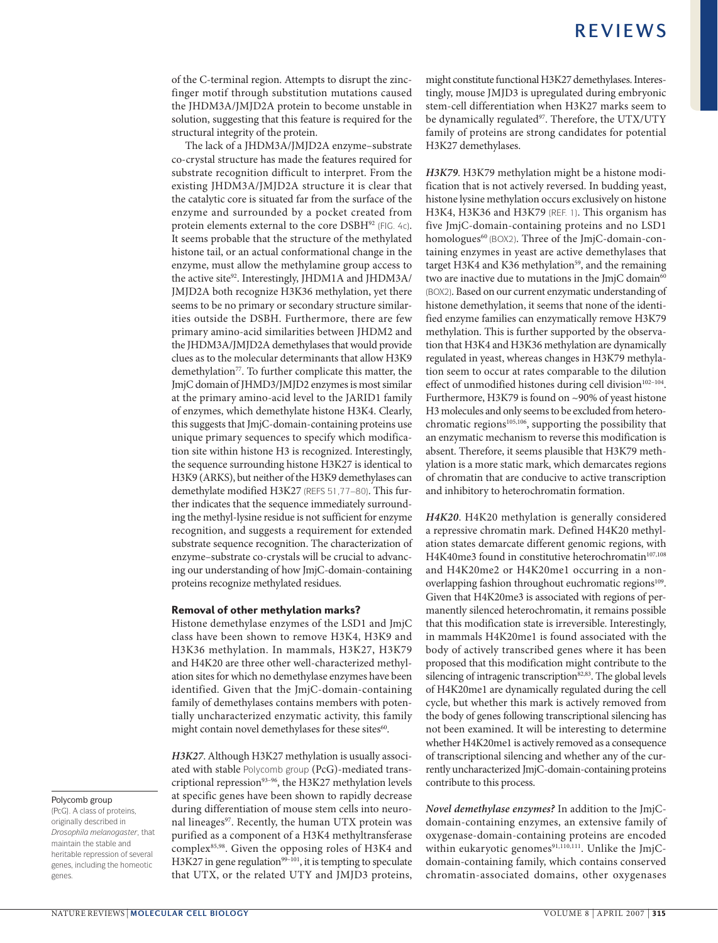of the C-terminal region. Attempts to disrupt the zincfinger motif through substitution mutations caused the JHDM3A/JMJD2A protein to become unstable in solution, suggesting that this feature is required for the structural integrity of the protein.

The lack of a JHDM3A/JMJD2A enzyme–substrate co-crystal structure has made the features required for substrate recognition difficult to interpret. From the existing JHDM3A/JMJD2A structure it is clear that the catalytic core is situated far from the surface of the enzyme and surrounded by a pocket created from protein elements external to the core DSBH<sup>92</sup> (FIG. 4c). It seems probable that the structure of the methylated histone tail, or an actual conformational change in the enzyme, must allow the methylamine group access to the active site<sup>92</sup>. Interestingly, JHDM1A and JHDM3A/ JMJD2A both recognize H3K36 methylation, yet there seems to be no primary or secondary structure similarities outside the DSBH. Furthermore, there are few primary amino-acid similarities between JHDM2 and the JHDM3A/JMJD2A demethylases that would provide clues as to the molecular determinants that allow H3K9 demethylation<sup>77</sup>. To further complicate this matter, the JmjC domain of JHMD3/JMJD2 enzymes is most similar at the primary amino-acid level to the JARID1 family of enzymes, which demethylate histone H3K4. Clearly, this suggests that JmjC-domain-containing proteins use unique primary sequences to specify which modification site within histone H3 is recognized. Interestingly, the sequence surrounding histone H3K27 is identical to H3K9 (ARKS), but neither of the H3K9 demethylases can demethylate modified H3K27 (REFS 51,77–80). This further indicates that the sequence immediately surrounding the methyl-lysine residue is not sufficient for enzyme recognition, and suggests a requirement for extended substrate sequence recognition. The characterization of enzyme–substrate co-crystals will be crucial to advancing our understanding of how JmjC-domain-containing proteins recognize methylated residues.

#### Removal of other methylation marks?

Histone demethylase enzymes of the LSD1 and JmjC class have been shown to remove H3K4, H3K9 and H3K36 methylation. In mammals, H3K27, H3K79 and H4K20 are three other well-characterized methylation sites for which no demethylase enzymes have been identified. Given that the JmjC-domain-containing family of demethylases contains members with potentially uncharacterized enzymatic activity, this family might contain novel demethylases for these sites<sup>60</sup>.

*H3K27*. Although H3K27 methylation is usually associated with stable Polycomb group (PcG)-mediated transcriptional repression<sup>93-96</sup>, the H3K27 methylation levels at specific genes have been shown to rapidly decrease during differentiation of mouse stem cells into neuronal lineages<sup>97</sup>. Recently, the human UTX protein was purified as a component of a H3K4 methyltransferase complex<sup>85,98</sup>. Given the opposing roles of H3K4 and H3K27 in gene regulation<sup>99-101</sup>, it is tempting to speculate that UTX, or the related UTY and JMJD3 proteins, might constitute functional H3K27 demethylases. Interestingly, mouse JMJD3 is upregulated during embryonic stem-cell differentiation when H3K27 marks seem to be dynamically regulated<sup>97</sup>. Therefore, the UTX/UTY family of proteins are strong candidates for potential H3K27 demethylases.

*H3K79*. H3K79 methylation might be a histone modification that is not actively reversed. In budding yeast, histone lysine methylation occurs exclusively on histone H3K4, H3K36 and H3K79 (REF. 1). This organism has five JmjC-domain-containing proteins and no LSD1 homologues<sup>60</sup> (BOX2). Three of the JmjC-domain-containing enzymes in yeast are active demethylases that target H3K4 and K36 methylation<sup>59</sup>, and the remaining two are inactive due to mutations in the JmjC domain<sup>60</sup> (BOX2). Based on our current enzymatic understanding of histone demethylation, it seems that none of the identified enzyme families can enzymatically remove H3K79 methylation. This is further supported by the observation that H3K4 and H3K36 methylation are dynamically regulated in yeast, whereas changes in H3K79 methylation seem to occur at rates comparable to the dilution effect of unmodified histones during cell division<sup>102-104</sup>. Furthermore, H3K79 is found on ~90% of yeast histone H3 molecules and only seems to be excluded from heterochromatic regions<sup>105,106</sup>, supporting the possibility that an enzymatic mechanism to reverse this modification is absent. Therefore, it seems plausible that H3K79 methylation is a more static mark, which demarcates regions of chromatin that are conducive to active transcription and inhibitory to heterochromatin formation.

*H4K20*. H4K20 methylation is generally considered a repressive chromatin mark. Defined H4K20 methylation states demarcate different genomic regions, with H4K40me3 found in constitutive heterochromatin<sup>107,108</sup> and H4K20me2 or H4K20me1 occurring in a nonoverlapping fashion throughout euchromatic regions<sup>109</sup>. Given that H4K20me3 is associated with regions of permanently silenced heterochromatin, it remains possible that this modification state is irreversible. Interestingly, in mammals H4K20me1 is found associated with the body of actively transcribed genes where it has been proposed that this modification might contribute to the silencing of intragenic transcription<sup>82,83</sup>. The global levels of H4K20me1 are dynamically regulated during the cell cycle, but whether this mark is actively removed from the body of genes following transcriptional silencing has not been examined. It will be interesting to determine whether H4K20me1 is actively removed as a consequence of transcriptional silencing and whether any of the currently uncharacterized JmjC-domain-containing proteins contribute to this process.

*Novel demethylase enzymes?* In addition to the JmjCdomain-containing enzymes, an extensive family of oxygenase-domain-containing proteins are encoded within eukaryotic genomes<sup>91,110,111</sup>. Unlike the JmjCdomain-containing family, which contains conserved chromatin-associated domains, other oxygenases

#### Polycomb group

(PcG). A class of proteins, originally described in *Drosophila melanogaster*, that maintain the stable and heritable repression of several genes, including the homeotic genes.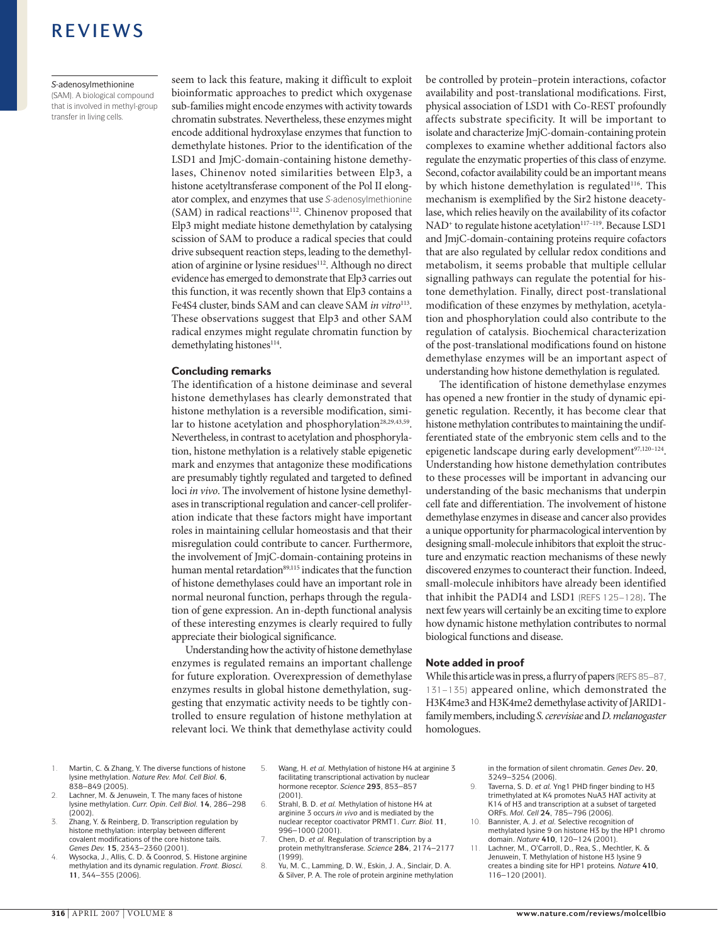#### *S*-adenosylmethionine

(SAM). A biological compound that is involved in methyl-group transfer in living cells.

seem to lack this feature, making it difficult to exploit bioinformatic approaches to predict which oxygenase sub-families might encode enzymes with activity towards chromatin substrates. Nevertheless, these enzymes might encode additional hydroxylase enzymes that function to demethylate histones. Prior to the identification of the LSD1 and JmjC-domain-containing histone demethylases, Chinenov noted similarities between Elp3, a histone acetyltransferase component of the Pol II elongator complex, and enzymes that use *S*-adenosylmethionine (SAM) in radical reactions<sup>112</sup>. Chinenov proposed that Elp3 might mediate histone demethylation by catalysing scission of SAM to produce a radical species that could drive subsequent reaction steps, leading to the demethylation of arginine or lysine residues<sup>112</sup>. Although no direct evidence has emerged to demonstrate that Elp3 carries out this function, it was recently shown that Elp3 contains a Fe4S4 cluster, binds SAM and can cleave SAM *in vitro*<sup>113</sup>. These observations suggest that Elp3 and other SAM radical enzymes might regulate chromatin function by demethylating histones<sup>114</sup>.

#### Concluding remarks

The identification of a histone deiminase and several histone demethylases has clearly demonstrated that histone methylation is a reversible modification, similar to histone acetylation and phosphorylation<sup>28,29,43,59</sup>. Nevertheless, in contrast to acetylation and phosphorylation, histone methylation is a relatively stable epigenetic mark and enzymes that antagonize these modifications are presumably tightly regulated and targeted to defined loci *in vivo*. The involvement of histone lysine demethylases in transcriptional regulation and cancer-cell proliferation indicate that these factors might have important roles in maintaining cellular homeostasis and that their misregulation could contribute to cancer. Furthermore, the involvement of JmjC-domain-containing proteins in human mental retardation<sup>89,115</sup> indicates that the function of histone demethylases could have an important role in normal neuronal function, perhaps through the regulation of gene expression. An in-depth functional analysis of these interesting enzymes is clearly required to fully appreciate their biological significance.

Understanding how the activity of histone demethylase enzymes is regulated remains an important challenge for future exploration. Overexpression of demethylase enzymes results in global histone demethylation, suggesting that enzymatic activity needs to be tightly controlled to ensure regulation of histone methylation at relevant loci. We think that demethylase activity could be controlled by protein–protein interactions, cofactor availability and post-translational modifications. First, physical association of LSD1 with Co-REST profoundly affects substrate specificity. It will be important to isolate and characterize JmjC-domain-containing protein complexes to examine whether additional factors also regulate the enzymatic properties of this class of enzyme. Second, cofactor availability could be an important means by which histone demethylation is regulated<sup>116</sup>. This mechanism is exemplified by the Sir2 histone deacetylase, which relies heavily on the availability of its cofactor NAD<sup>+</sup> to regulate histone acetylation<sup>117-119</sup>. Because LSD1 and JmjC-domain-containing proteins require cofactors that are also regulated by cellular redox conditions and metabolism, it seems probable that multiple cellular signalling pathways can regulate the potential for histone demethylation. Finally, direct post-translational modification of these enzymes by methylation, acetylation and phosphorylation could also contribute to the regulation of catalysis. Biochemical characterization of the post-translational modifications found on histone demethylase enzymes will be an important aspect of understanding how histone demethylation is regulated.

The identification of histone demethylase enzymes has opened a new frontier in the study of dynamic epigenetic regulation. Recently, it has become clear that histone methylation contributes to maintaining the undifferentiated state of the embryonic stem cells and to the epigenetic landscape during early development<sup>97,120-124</sup>. Understanding how histone demethylation contributes to these processes will be important in advancing our understanding of the basic mechanisms that underpin cell fate and differentiation. The involvement of histone demethylase enzymes in disease and cancer also provides a unique opportunity for pharmacological intervention by designing small-molecule inhibitors that exploit the structure and enzymatic reaction mechanisms of these newly discovered enzymes to counteract their function. Indeed, small-molecule inhibitors have already been identified that inhibit the PADI4 and LSD1 (REFS 125–128). The next few years will certainly be an exciting time to explore how dynamic histone methylation contributes to normal biological functions and disease.

#### Note added in proof

While this article was in press, a flurry of papers (REFS 85–87, 131–135) appeared online, which demonstrated the H3K4me3 and H3K4me2 demethylase activity of JARID1 family members, including *S. cerevisiae* and *D. melanogaster* homologues.

- 1. Martin, C. & Zhang, Y. The diverse functions of histone lysine methylation. *Nature Rev. Mol. Cell Biol.* **6**, 838–849 (2005).
- 2. Lachner, M. & Jenuwein, T. The many faces of histone lysine methylation. *Curr. Opin. Cell Biol.* **14**, 286–298 (2002).
- Zhang, Y. & Reinberg, D. Transcription regulation by histone methylation: interplay between different covalent modifications of the core histone tails. *Genes Dev.* **15**, 2343–2360 (2001).
- 4. Wysocka, J., Allis, C. D. & Coonrod, S. Histone arginine methylation and its dynamic regulation. *Front. Biosci.* **11**, 344–355 (2006).
- 5. Wang, H. *et al.* Methylation of histone H4 at arginine 3 facilitating transcriptional activation by nuclear hormone receptor. *Science* **293**, 853–857 (2001).
- 6. Strahl, B. D. *et al.* Methylation of histone H4 at arginine 3 occurs *in vivo* and is mediated by the nuclear receptor coactivator PRMT1. *Curr. Biol.* **11**, 996–1000 (2001).
- 7. Chen, D. *et al.* Regulation of transcription by a protein methyltransferase. *Science* **284**, 2174–2177 (1999).
- 8. Yu, M. C., Lamming, D. W., Eskin, J. A., Sinclair, D. A. & Silver, P. A. The role of protein arginine methylation

in the formation of silent chromatin. *Genes Dev***. 20**, 3249–3254 (2006).

- 9. Taverna, S. D. *et al.* Yng1 PHD finger binding to H3 trimethylated at K4 promotes NuA3 HAT activity at K14 of H3 and transcription at a subset of targeted ORFs. *Mol. Cell* **24**, 785–796 (2006).
- 10. Bannister, A. J. *et al.* Selective recognition of methylated lysine 9 on histone H3 by the HP1 chromo domain. *Nature* **410**, 120–124 (2001).
- Lachner, M., O'Carroll, D., Rea, S., Mechtler, K. & Jenuwein, T. Methylation of histone H3 lysine 9 creates a binding site for HP1 proteins. *Nature* **410**, 116–120 (2001).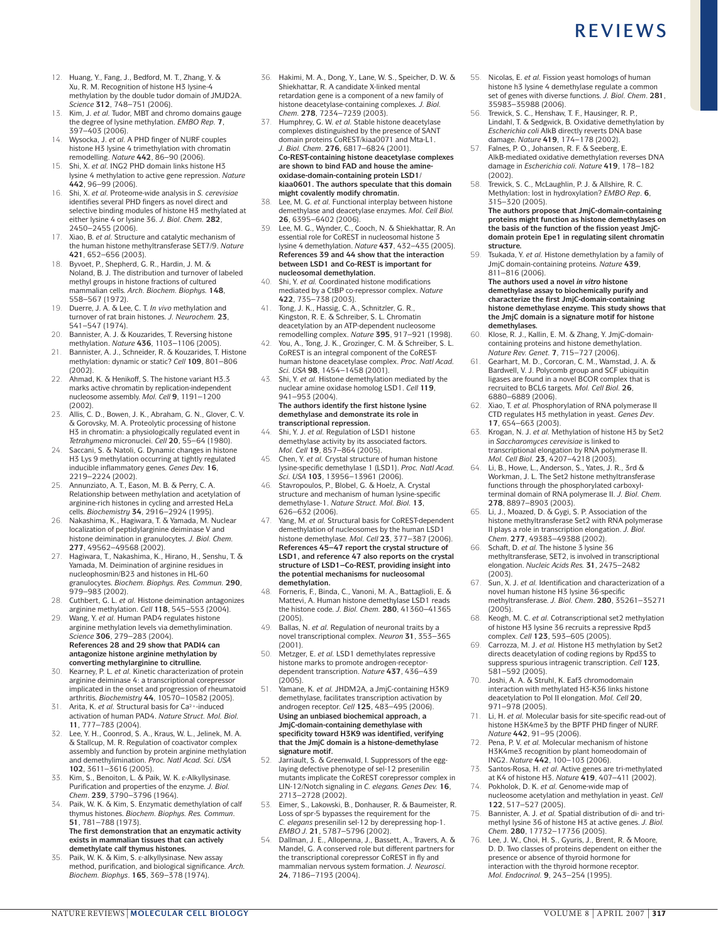- 12. Huang, Y., Fang, J., Bedford, M. T., Zhang, Y. & Xu, R. M. Recognition of histone H3 lysine-4 methylation by the double tudor domain of JMJD2A. *Science* **312**, 748–751 (2006).
- Kim, J. et al. Tudor, MBT and chromo domains gauge the degree of lysine methylation. *EMBO Rep.* **7**, 397–403 (2006).
- 14. Wysocka, J. *et al.* A PHD finger of NURF couples histone H3 lysine 4 trimethylation with chromatin remodelling. *Nature* **442**, 86–90 (2006).
- 15. Shi, X. *et al.* ING2 PHD domain links histone H3 lysine 4 methylation to active gene repression. *Nature* **442**, 96–99 (2006).
- 16. Shi, X. *et al.* Proteome-wide analysis in *S. cerevisiae* identifies several PHD fingers as novel direct and selective binding modules of histone H3 methylated at either lysine 4 or lysine 36. *J. Biol. Chem.* **282**, 2450–2455 (2006).
- 17. Xiao, B. *et al.* Structure and catalytic mechanism of the human histone methyltransferase SET7/9. *Nature* **421**, 652–656 (2003).
- 18. Byvoet, P., Shepherd, G. R., Hardin, J. M. & Noland, B. J. The distribution and turnover of labeled methyl groups in histone fractions of cultured mammalian cells. *Arch. Biochem. Biophys.* **148**, 558–567 (1972).
- 19. Duerre, J. A. & Lee, C. T. *In vivo* methylation and turnover of rat brain histones. *J. Neurochem.* **23**, 541–547 (1974).
- 20. Bannister, A. J. & Kouzarides, T. Reversing histone methylation. *Nature* **436**, 1103–1106 (2005).
- 21. Bannister, A. J., Schneider, R. & Kouzarides, T. Histone methylation: dynamic or static? *Cell* **109**, 801–806 (2002).
- 22. Ahmad, K. & Henikoff, S. The histone variant H3.3 marks active chromatin by replication-independent nucleosome assembly. *Mol. Cell* **9**, 1191–1200 (2002).
- 23. Allis, C. D., Bowen, J. K., Abraham, G. N., Glover, C. V. & Gorovsky, M. A. Proteolytic processing of histone H3 in chromatin: a physiologically regulated event in *Tetrahymena* micronuclei. *Cell* **20**, 55–64 (1980).
- 24. Saccani, S. & Natoli, G. Dynamic changes in histone H3 Lys 9 methylation occurring at tightly regulated inducible inflammatory genes. *Genes Dev.* **16**, 2219–2224 (2002).
- 25. Annunziato, A. T., Eason, M. B. & Perry, C. A. Relationship between methylation and acetylation of arginine-rich histones in cycling and arrested HeLa cells. *Biochemistry* **34**, 2916–2924 (1995).
- 26. Nakashima, K., Hagiwara, T. & Yamada, M. Nuclear localization of peptidylarginine deiminase V and histone deimination in granulocytes. *J. Biol. Chem.* **277**, 49562–49568 (2002).
- 27. Hagiwara, T., Nakashima, K., Hirano, H., Senshu, T. & Yamada, M. Deimination of arginine residues in nucleophosmin/B23 and histones in HL-60 granulocytes. *Biochem. Biophys. Res. Commun.* **290**, 979–983 (2002).
- 28. Cuthbert, G. L. *et al.* Histone deimination antagonizes arginine methylation. *Cell* **118**, 545–553 (2004).
- 29. Wang, Y. *et al.* Human PAD4 regulates histone arginine methylation levels via demethylimination. *Science* **306**, 279–283 (2004). **References 28 and 29 show that PADI4 can antagonize histone arginine methylation by converting methylarginine to citrulline.**
- 30. Kearney, P. L. *et al.* Kinetic characterization of protein arginine deiminase 4: a transcriptional corepressor implicated in the onset and progression of rheumatoid arthritis. *Biochemistry* **44**, 10570–10582 (2005).
- 31. Arita, K. *et al.* Structural basis for Ca2+-induced activation of human PAD4. *Nature Struct. Mol. Biol.* **11**, 777–783 (2004).
- 32. Lee, Y. H., Coonrod, S. A., Kraus, W. L., Jelinek, M. A. & Stallcup, M. R. Regulation of coactivator complex assembly and function by protein arginine methylation and demethylimination. *Proc. Natl Acad. Sci. USA* **102**, 3611–3616 (2005).
- 33. Kim, S., Benoiton, L. & Paik, W. K. ε-Alkyllysinase. Purification and properties of the enzyme. *J. Biol. Chem*. **239**, 3790–3796 (1964).
- Paik, W. K. & Kim, S. Enzymatic demethylation of calf thymus histones. *Biochem. Biophys. Res. Commun*. **51**, 781–788 (1973). **The first demonstration that an enzymatic activity exists in mammalian tissues that can actively demethylate calf thymus histones.**
- 35. Paik, W. K. & Kim, S. ε-alkyllysinase. New assay method, purification, and biological significance. *Arch. Biochem. Biophys*. **165**, 369–378 (1974).
- 36. Hakimi, M. A., Dong, Y., Lane, W. S., Speicher, D. W. & Shiekhattar, R. A candidate X-linked mental retardation gene is a component of a new family of histone deacetylase-containing complexes. *J. Biol. Chem.* **278**, 7234–7239 (2003).
- 37. Humphrey, G. W. *et al.* Stable histone deacetylase complexes distinguished by the presence of SANT domain proteins CoREST/kiaa0071 and Mta-L1. *J. Biol. Chem*. **276**, 6817–6824 (2001). **Co-REST-containing histone deacetylase complexes are shown to bind FAD and house the amineoxidase-domain-containing protein LSD1/ kiaa0601. The authors speculate that this domain**
- **might covalently modify chromatin.** 38. Lee, M. G. *et al.* Functional interplay between histone demethylase and deacetylase enzymes. *Mol. Cell Biol.* **26**, 6395–6402 (2006).
- 39. Lee, M. G., Wynder, C., Cooch, N. & Shiekhattar, R. An essential role for CoREST in nucleosomal histone 3 lysine 4 demethylation. *Nature* **437**, 432–435 (2005). **References 39 and 44 show that the interaction between LSD1 and Co-REST is important for nucleosomal demethylation.**
- 40. Shi, Y. *et al.* Coordinated histone modifications mediated by a CtBP co-repressor complex. *Nature* **422**, 735–738 (2003).
- 41. Tong, J. K., Hassig, C. A., Schnitzler, G. R., Kingston, R. E. & Schreiber, S. L. Chromatin deacetylation by an ATP-dependent nucleosome
- remodelling complex. *Nature* **395**, 917–921 (1998). 42. You, A., Tong, J. K., Grozinger, C. M. & Schreiber, S. L. CoREST is an integral component of the CoRESThuman histone deacetylase complex. *Proc. Natl Acad. Sci. USA* **98**, 1454–1458 (2001).
- 43. Shi, Y. *et al.* Histone demethylation mediated by the nuclear amine oxidase homolog LSD1. *Cell* **119**, 941–953 (2004). **The authors identify the first histone lysine**

**demethylase and demonstrate its role in transcriptional repression.**

- 44. Shi, Y. J. *et al.* Regulation of LSD1 histone demethylase activity by its associated factors. *Mol. Cell* **19**, 857–864 (2005).
- 45. Chen, Y. *et al.* Crystal structure of human histone lysine-specific demethylase 1 (LSD1). *Proc. Natl Acad. Sci. USA* **103**, 13956–13961 (2006). 46. Stavropoulos, P., Blobel, G. & Hoelz, A. Crystal
- structure and mechanism of human lysine-specific demethylase-1. *Nature Struct. Mol. Biol.* **13**, 626–632 (2006).
- Yang, M. et al. Structural basis for CoREST-dependent demethylation of nucleosomes by the human LSD1 histone demethylase. *Mol. Cell* **23**, 377–387 (2006). **References 45–47 report the crystal structure of LSD1, and reference 47 also reports on the crystal structure of LSD1–Co-REST, providing insight into the potential mechanisms for nucleosomal demethylation.**
- 48. Forneris, F., Binda, C., Vanoni, M. A., Battaglioli, E. & Mattevi, A. Human histone demethylase LSD1 reads the histone code. *J. Biol. Chem.* **280**, 41360–41365 (2005).
- 49. Ballas, N. *et al.* Regulation of neuronal traits by a novel transcriptional complex. *Neuron* **31**, 353–365 (2001).
- 50. Metzger, E. *et al.* LSD1 demethylates repressive histone marks to promote androgen-receptordependent transcription. *Nature* **437**, 436–439 (2005).
- 51. Yamane, K. *et al.* JHDM2A, a JmjC-containing H3K9 demethylase, facilitates transcription activation by androgen receptor. *Cell* **125**, 483–495 (2006). **Using an unbiased biochemical approach, a JmjC-domain-containing demethylase with specificity toward H3K9 was identified, verifying that the JmjC domain is a histone-demethylase signature motif.**
- Jarriault, S. & Greenwald, I. Suppressors of the egglaying defective phenotype of sel-12 presenilin mutants implicate the CoREST corepressor complex in LIN-12/Notch signaling in *C. elegans. Genes Dev.* **16**, 2713–2728 (2002).
- 53. Eimer, S., Lakowski, B., Donhauser, R. & Baumeister, R. Loss of spr-5 bypasses the requirement for the *C. elegans* presenilin sel-12 by derepressing hop-1. *EMBO J.* **21**, 5787–5796 (2002).
- 54. Dallman, J. E., Allopenna, J., Bassett, A., Travers, A. & Mandel, G. A conserved role but different partners for the transcriptional corepressor CoREST in fly and mammalian nervous system formation. *J. Neurosci*. **24**, 7186–7193 (2004).
- 55. Nicolas, E. *et al.* Fission yeast homologs of human histone h3 lysine 4 demethylase regulate a common set of genes with diverse functions. *J. Biol. Chem*. **281**, 35983–35988 (2006).
- 56. Trewick, S. C., Henshaw, T. F., Hausinger, R. P., Lindahl, T. & Sedgwick, B. Oxidative demethylation by *Escherichia coli* AlkB directly reverts DNA base
- damage. *Nature* **419**, 174–178 (2002). 57. Falnes, P. O., Johansen, R. F. & Seeberg, E. AlkB-mediated oxidative demethylation reverses DNA damage in *Escherichia coli. Nature* **419**, 178–182 (2002).
- 58. Trewick, S. C., McLaughlin, P. J. & Allshire, R. C. Methylation: lost in hydroxylation? *EMBO Rep*. **6**, 315–320 (2005).
	- **The authors propose that JmjC-domain-containing proteins might function as histone demethylases on the basis of the function of the fission yeast JmjCdomain protein Epe1 in regulating silent chromatin structure.**
- 59. Tsukada, Y. *et al.* Histone demethylation by a family of JmjC domain-containing proteins. *Nature* **439**, 811–816 (2006).

**The authors used a novel** *in vitro* **histone demethylase assay to biochemically purify and characterize the first JmjC-domain-containing histone demethylase enzyme. This study shows that the JmjC domain is a signature motif for histone demethylases.**

- 60. Klose, R. J., Kallin, E. M. & Zhang, Y. JmjC-domain-containing proteins and histone demethylation. *Nature Rev. Genet.* **7**, 715–727 (2006).
- 61. Gearhart, M. D., Corcoran, C. M., Wamstad, J. A. & Bardwell, V. J. Polycomb group and SCF ubiquitin ligases are found in a novel BCOR complex that is recruited to BCL6 targets. *Mol. Cell Biol.* **26**, 6880–6889 (2006).
- 62. Xiao, T. *et al.* Phosphorylation of RNA polymerase II CTD regulates H3 methylation in yeast. *Genes Dev*. **17**, 654–663 (2003).
- 63. Krogan, N. J. *et al.* Methylation of histone H3 by Set2 in *Saccharomyces cerevisiae* is linked to transcriptional elongation by RNA polymerase II. *Mol. Cell Biol.* **23**, 4207–4218 (2003).
- 64. Li, B., Howe, L., Anderson, S., Yates, J. R., 3rd & Workman, J. L. The Set2 histone methyltransferase functions through the phosphorylated carboxylterminal domain of RNA polymerase II. *J. Biol. Chem.* **278**, 8897–8903 (2003).
- Li, J., Moazed, D. & Gygi, S. P. Association of the histone methyltransferase Set2 with RNA polymerase II plays a role in transcription elongation. *J. Biol. Chem*. **277**, 49383–49388 (2002).
- 66. Schaft, D. *et al.* The histone 3 lysine 36 methyltransferase, SET2, is involved in transcriptional elongation. *Nucleic Acids Res.* **31**, 2475–2482  $(2003)$
- 67. Sun, X. J. *et al.* Identification and characterization of a novel human histone H3 lysine 36-specific methyltransferase. *J. Biol. Chem*. **280**, 35261–35271 (2005).
- 68. Keogh, M. C. *et al.* Cotranscriptional set2 methylation of histone H3 lysine 36 recruits a repressive Rpd3 complex. *Cell* **123**, 593–605 (2005).
- 69. Carrozza, M. J. *et al.* Histone H3 methylation by Set2 directs deacetylation of coding regions by Rpd3S to suppress spurious intragenic transcription. *Cell* **123**, 581–592 (2005).
- 70. Joshi, A. A. & Struhl, K. Eaf3 chromodomain interaction with methylated H3-K36 links histone deacetylation to Pol II elongation. *Mol. Cell* **20**, 971–978 (2005).
- 71. Li, H. *et al.* Molecular basis for site-specific read-out of histone H3K4me3 by the BPTF PHD finger of NURF. *Nature* **442**, 91–95 (2006).
- 72. Pena, P. V. *et al.* Molecular mechanism of histone H3K4me3 recognition by plant homeodomain of ING2. *Nature* **442**, 100–103 (2006).
- 73. Santos-Rosa, H. *et al.* Active genes are tri-methylated at K4 of histone H3. *Nature* **419**, 407–411 (2002).
- 74. Pokholok, D. K. *et al.* Genome-wide map of nucleosome acetylation and methylation in yeast. *Cell* **122**, 517–527 (2005).
- 75. Bannister, A. J. *et al.* Spatial distribution of di- and trimethyl lysine 36 of histone H3 at active genes. *J. Biol. Chem.* **280**, 17732–17736 (2005).
- 76. Lee, J. W., Choi, H. S., Gyuris, J., Brent, R. & Moore, D. D. Two classes of proteins dependent on either the presence or absence of thyroid hormone for interaction with the thyroid hormone receptor. *Mol. Endocrinol.* **9**, 243–254 (1995).